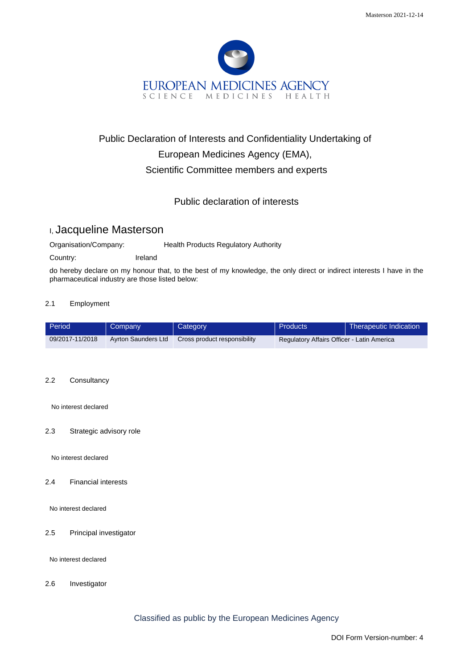

# Public Declaration of Interests and Confidentiality Undertaking of European Medicines Agency (EMA), Scientific Committee members and experts

## Public declaration of interests

## I, Jacqueline Masterson

Organisation/Company: Health Products Regulatory Authority

Country: Ireland

do hereby declare on my honour that, to the best of my knowledge, the only direct or indirect interests I have in the pharmaceutical industry are those listed below:

### 2.1 Employment

| Period          | Company             | Category                     | Products                                   | <b>Therapeutic Indication</b> |
|-----------------|---------------------|------------------------------|--------------------------------------------|-------------------------------|
| 09/2017-11/2018 | Ayrton Saunders Ltd | Cross product responsibility | Regulatory Affairs Officer - Latin America |                               |

#### 2.2 Consultancy

No interest declared

#### 2.3 Strategic advisory role

No interest declared

#### 2.4 Financial interests

No interest declared

2.5 Principal investigator

No interest declared

2.6 Investigator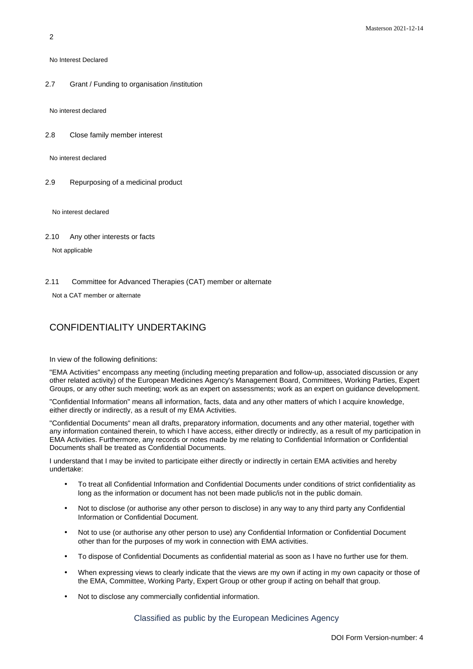No Interest Declared

2.7 Grant / Funding to organisation /institution

No interest declared

2.8 Close family member interest

No interest declared

2.9 Repurposing of a medicinal product

No interest declared

2.10 Any other interests or facts

Not applicable

2.11 Committee for Advanced Therapies (CAT) member or alternate

Not a CAT member or alternate

## CONFIDENTIALITY UNDERTAKING

In view of the following definitions:

"EMA Activities" encompass any meeting (including meeting preparation and follow-up, associated discussion or any other related activity) of the European Medicines Agency's Management Board, Committees, Working Parties, Expert Groups, or any other such meeting; work as an expert on assessments; work as an expert on guidance development.

"Confidential Information" means all information, facts, data and any other matters of which I acquire knowledge, either directly or indirectly, as a result of my EMA Activities.

"Confidential Documents" mean all drafts, preparatory information, documents and any other material, together with any information contained therein, to which I have access, either directly or indirectly, as a result of my participation in EMA Activities. Furthermore, any records or notes made by me relating to Confidential Information or Confidential Documents shall be treated as Confidential Documents.

I understand that I may be invited to participate either directly or indirectly in certain EMA activities and hereby undertake:

- To treat all Confidential Information and Confidential Documents under conditions of strict confidentiality as long as the information or document has not been made public/is not in the public domain.
- Not to disclose (or authorise any other person to disclose) in any way to any third party any Confidential Information or Confidential Document.
- Not to use (or authorise any other person to use) any Confidential Information or Confidential Document other than for the purposes of my work in connection with EMA activities.
- To dispose of Confidential Documents as confidential material as soon as I have no further use for them.
- When expressing views to clearly indicate that the views are my own if acting in my own capacity or those of the EMA, Committee, Working Party, Expert Group or other group if acting on behalf that group.
- Not to disclose any commercially confidential information.

Classified as public by the European Medicines Agency